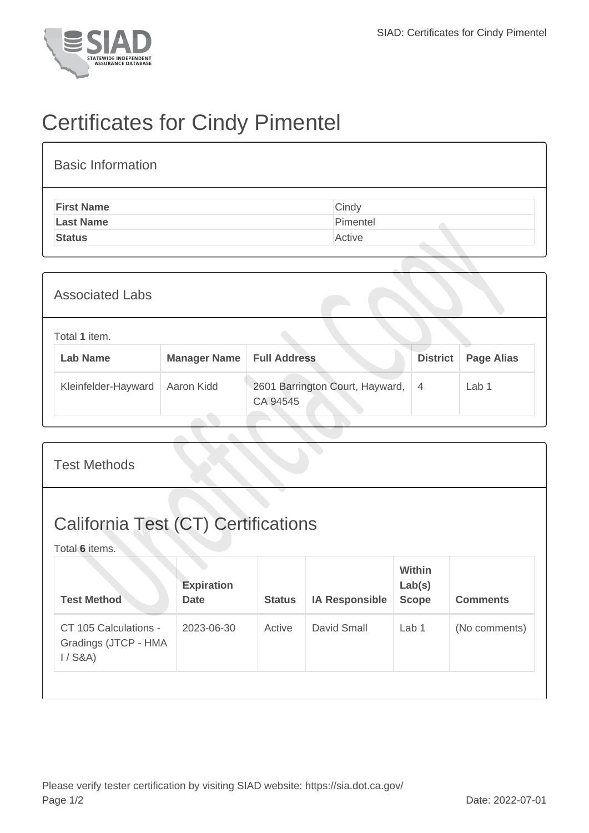

## Certificates for Cindy Pimentel

| <b>Basic Information</b> |          |
|--------------------------|----------|
| <b>First Name</b>        | Cindy    |
| <b>Last Name</b>         | Pimentel |
| <b>Status</b>            | Active   |

| <b>Associated Labs</b>           |                     |                                             |                 |                   |  |  |
|----------------------------------|---------------------|---------------------------------------------|-----------------|-------------------|--|--|
| Total 1 item.<br><b>Lab Name</b> | <b>Manager Name</b> | <b>Full Address</b>                         | <b>District</b> | <b>Page Alias</b> |  |  |
| Kleinfelder-Hayward              | Aaron Kidd          | 2601 Barrington Court, Hayward,<br>CA 94545 | $\overline{4}$  | Lab <sub>1</sub>  |  |  |

| <b>Test Methods</b>                                          |                                  |               |                       |                                  |                 |  |
|--------------------------------------------------------------|----------------------------------|---------------|-----------------------|----------------------------------|-----------------|--|
| <b>California Test (CT) Certifications</b><br>Total 6 items. |                                  |               |                       |                                  |                 |  |
| <b>Test Method</b>                                           | <b>Expiration</b><br><b>Date</b> | <b>Status</b> | <b>IA Responsible</b> | Within<br>Lab(s)<br><b>Scope</b> | <b>Comments</b> |  |
| CT 105 Calculations -<br>Gradings (JTCP - HMA<br>$1/$ S&A)   | 2023-06-30                       | Active        | David Small           | Lab 1                            | (No comments)   |  |
|                                                              |                                  |               |                       |                                  |                 |  |